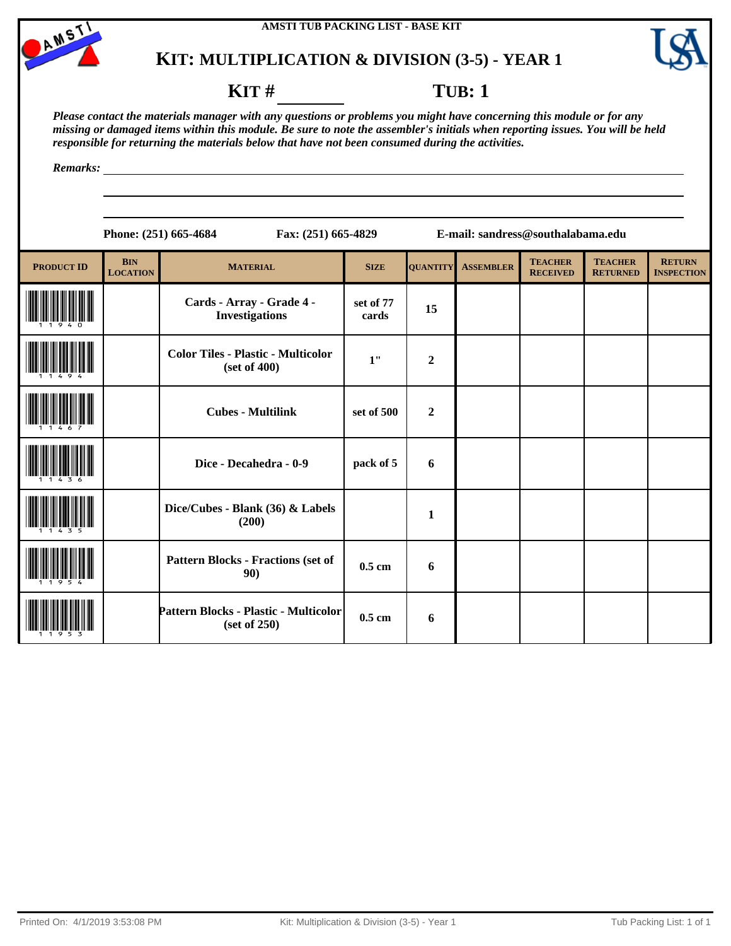

# **KIT: MULTIPLICATION & DIVISION (3-5) - YEAR 1**



## **KIT** # **TUB**: 1

<u> 1989 - Johann Barn, mars ann an t-Amhain Aonaich an t-Aonaich an t-Aonaich ann an t-Aonaich ann an t-Aonaich</u>

*Please contact the materials manager with any questions or problems you might have concerning this module or for any missing or damaged items within this module. Be sure to note the assembler's initials when reporting issues. You will be held responsible for returning the materials below that have not been consumed during the activities.*

*Remarks:*

|                   |                               | Phone: (251) 665-4684                                     | Fax: (251) 665-4829 |                  | E-mail: sandress@southalabama.edu |                                   |                                   |                                    |
|-------------------|-------------------------------|-----------------------------------------------------------|---------------------|------------------|-----------------------------------|-----------------------------------|-----------------------------------|------------------------------------|
| <b>PRODUCT ID</b> | <b>BIN</b><br><b>LOCATION</b> | <b>MATERIAL</b>                                           | <b>SIZE</b>         | <b>QUANTITY</b>  | <b>ASSEMBLER</b>                  | <b>TEACHER</b><br><b>RECEIVED</b> | <b>TEACHER</b><br><b>RETURNED</b> | <b>RETURN</b><br><b>INSPECTION</b> |
|                   |                               | Cards - Array - Grade 4 -<br><b>Investigations</b>        | set of 77<br>cards  | 15               |                                   |                                   |                                   |                                    |
|                   |                               | <b>Color Tiles - Plastic - Multicolor</b><br>(set of 400) | 1"                  | $\overline{2}$   |                                   |                                   |                                   |                                    |
|                   |                               | <b>Cubes - Multilink</b>                                  | set of 500          | $\boldsymbol{2}$ |                                   |                                   |                                   |                                    |
|                   |                               | Dice - Decahedra - 0-9                                    | pack of 5           | 6                |                                   |                                   |                                   |                                    |
|                   |                               | Dice/Cubes - Blank (36) & Labels<br>(200)                 |                     | 1                |                                   |                                   |                                   |                                    |
|                   |                               | <b>Pattern Blocks - Fractions (set of</b><br>90)          | $0.5$ cm            | 6                |                                   |                                   |                                   |                                    |
|                   |                               | Pattern Blocks - Plastic - Multicolor<br>(set of 250)     | $0.5$ cm            | 6                |                                   |                                   |                                   |                                    |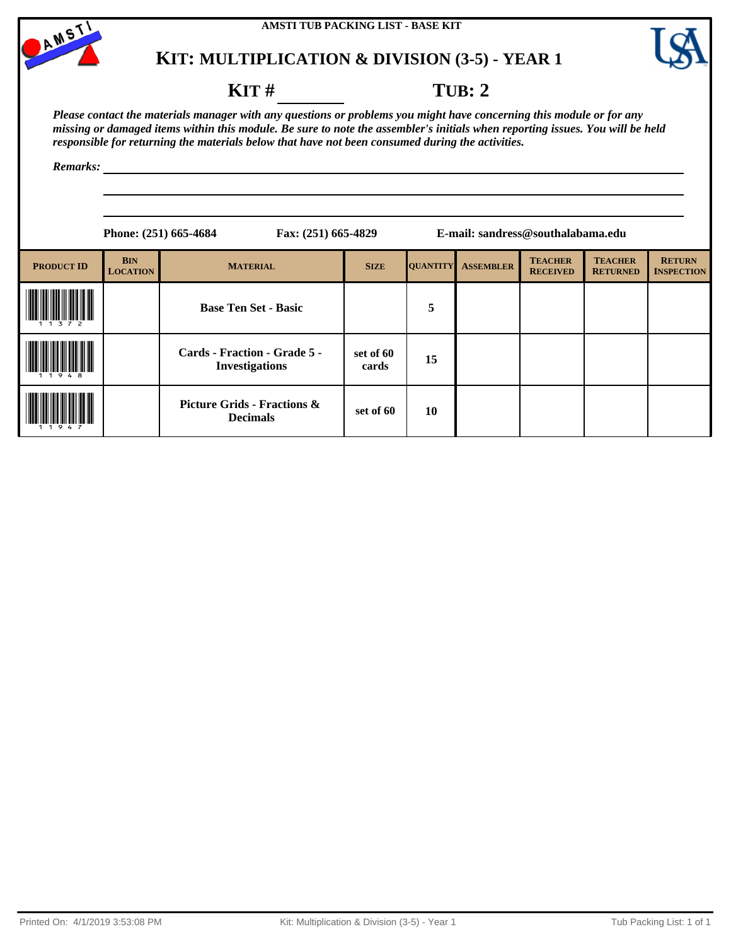

# **KIT: MULTIPLICATION & DIVISION (3-5) - YEAR 1**



## **KIT** # **TUB: 2**

*Please contact the materials manager with any questions or problems you might have concerning this module or for any missing or damaged items within this module. Be sure to note the assembler's initials when reporting issues. You will be held responsible for returning the materials below that have not been consumed during the activities.*

*Remarks:*

|                   |                               | Phone: (251) 665-4684                                     | Fax: (251) 665-4829 |                 | E-mail: sandress@southalabama.edu |                                   |                                   |                                    |  |
|-------------------|-------------------------------|-----------------------------------------------------------|---------------------|-----------------|-----------------------------------|-----------------------------------|-----------------------------------|------------------------------------|--|
| <b>PRODUCT ID</b> | <b>BIN</b><br><b>LOCATION</b> | <b>MATERIAL</b>                                           | <b>SIZE</b>         | <b>QUANTITY</b> | <b>ASSEMBLER</b>                  | <b>TEACHER</b><br><b>RECEIVED</b> | <b>TEACHER</b><br><b>RETURNED</b> | <b>RETURN</b><br><b>INSPECTION</b> |  |
| 3 7 2             |                               | <b>Base Ten Set - Basic</b>                               |                     | 5               |                                   |                                   |                                   |                                    |  |
|                   |                               | Cards - Fraction - Grade 5 -<br><b>Investigations</b>     | set of 60<br>cards  | 15              |                                   |                                   |                                   |                                    |  |
|                   |                               | <b>Picture Grids - Fractions &amp;</b><br><b>Decimals</b> | set of 60           | 10              |                                   |                                   |                                   |                                    |  |